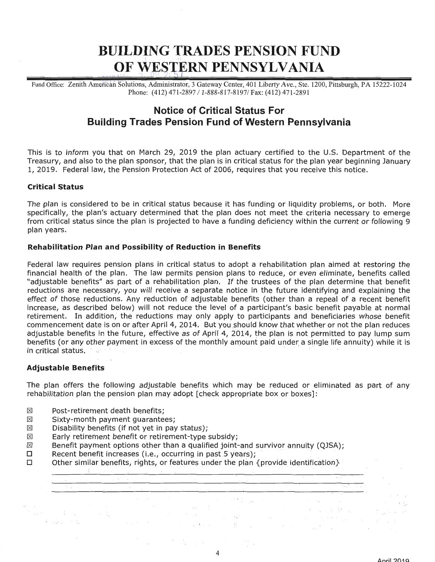# **BUILDING TRADES PENSION FUND**  1 , Ji**e** , Jie , Jie , Jie , Jie , Jie , Jie , Jie , Jie , Jie , Jie , Jie , Jie , Jie , Jie , Jie , Jie , Jie , Jie , Jie , Jie , Jie , Jie , Jie , Jie , Jie , Jie , Jie , Jie , Jie , Jie , Jie , Jie , Jie , Jie , Jie , *OF WESTERN PENNSYLVANIA*

Fund Office: Zenith American Solutions, Administrator, 3 Gateway Center, 401 Liberty Ave., Ste. 1200, Pittsburgh, PA 15222-1024 Phone: (412) 471-2897 / 1-888-817-8197/ Fax: (412) 471-2891

# **Notice of Critical Status For Building Trades Pension Fund of Western Pennsylvania**

This is to inform you that on March 29, 2019 the plan actuary certified to the U.S. Department of the Treasury, and also to the plan sponsor, that the plan is in critical status for the plan year beginning January 1, 2019. Federal law, the Pension Protection Act of 2006, requires that you receive this notice.

# **Critical Status**

The plan is considered to be in critical status because it has funding or liquidity problems, or both. More specifically, the plan's actuary determined that the plan does not meet the criteria necessary to emerge from critical status since the plan is projected to have a funding deficiency within the current or following 9 plan years.

#### **Rehabilitation Plan and Possibility of Reduction in Benefits**

Federal law requires pension plans in critical status to adopt a rehabilitation plan aimed at restoring the financial health of the plan. The law permits pension plans to reduce, or even eliminate, benefits called "adjustable benefits" as part of a rehabilitation plan. If the trustees of the plan determine that benefit reductions are necessary, you will receive a separate notice in the future identifying and explaining the effect of those reductions. Any reduction of adjustable benefits (other than a repeal of a recent benefit increase, as described below) will not reduce the level of a participant's basic benefit payable at normal retirement. In addition, the reductions may only apply to participants and beneficiaries whose benefit commencement date is on or after April 4, 2014. But you should know that whether or not the plan reduces adjustable benefits in the future, effective as of April 4, 2014, the plan is not permitted to pay lump sum benefits (or any other payment in excess of the monthly amount paid under a single life annuity) while it is in critical status.

# **Adjustable Benefits**

! .· •

 $\label{eq:2.1} \mathcal{L} \mathcal{L}^{(2)} = \mathcal{L}^{(1)} \left( \mathcal{L}^{(1)} \right) \left( \mathcal{L}^{(1)} \right) \left( \mathcal{L}^{(1)} \right)$ 

The plan offers the following adjustable benefits which may be reduced or eliminated as part of any rehabilitation plan the pension plan may adopt [check appropriate box or boxes]:

- (8) Post-retirement death benefits;
- $\boxtimes$  Sixty-month payment quarantees;
- $\boxtimes$  Disability benefits (if not yet in pay status);
- ⊠ Early retirement benefit or retirement-type subsidy;
- $\boxtimes$  Benefit payment options other than a qualified joint-and survivor annuity (QJSA);
- Recent benefit increases (i.e., occurring in past 5 years);  $\Box$
- $\square$  Other similar benefits, rights, or features under the plan {provide identification}

 $\label{eq:3.1} \mathcal{A}=\mathcal{A}+\frac{1}{2}\mathcal{A}+\mathcal{M}=\mathcal{A}+\mathcal{A}+\mathcal{A}.$ 

 $\mathcal{L}_{\text{max}}$  ,  $\mathcal{L}_{\text{max}}$  ,  $\mathcal{L}_{\text{max}}$ 

 $\alpha_{\rm b}$ 

 $\mathcal{L}_{\rm{max}} = \mathcal{L}_{\rm{max}}$